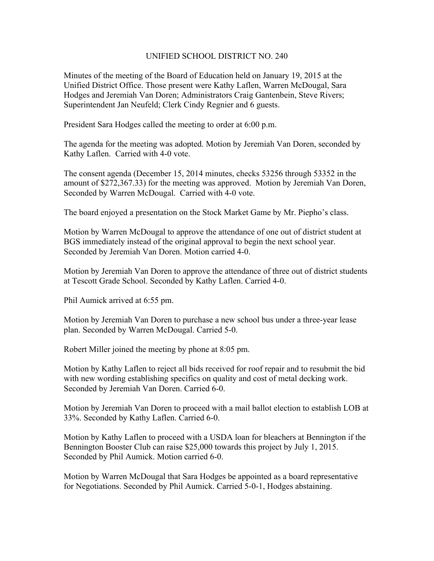## UNIFIED SCHOOL DISTRICT NO. 240

Minutes of the meeting of the Board of Education held on January 19, 2015 at the Unified District Office. Those present were Kathy Laflen, Warren McDougal, Sara Hodges and Jeremiah Van Doren; Administrators Craig Gantenbein, Steve Rivers; Superintendent Jan Neufeld; Clerk Cindy Regnier and 6 guests.

President Sara Hodges called the meeting to order at 6:00 p.m.

The agenda for the meeting was adopted. Motion by Jeremiah Van Doren, seconded by Kathy Laflen. Carried with 4-0 vote.

The consent agenda (December 15, 2014 minutes, checks 53256 through 53352 in the amount of \$272,367.33) for the meeting was approved. Motion by Jeremiah Van Doren, Seconded by Warren McDougal. Carried with 4-0 vote.

The board enjoyed a presentation on the Stock Market Game by Mr. Piepho's class.

Motion by Warren McDougal to approve the attendance of one out of district student at BGS immediately instead of the original approval to begin the next school year. Seconded by Jeremiah Van Doren. Motion carried 4-0.

Motion by Jeremiah Van Doren to approve the attendance of three out of district students at Tescott Grade School. Seconded by Kathy Laflen. Carried 4-0.

Phil Aumick arrived at 6:55 pm.

Motion by Jeremiah Van Doren to purchase a new school bus under a three-year lease plan. Seconded by Warren McDougal. Carried 5-0.

Robert Miller joined the meeting by phone at 8:05 pm.

Motion by Kathy Laflen to reject all bids received for roof repair and to resubmit the bid with new wording establishing specifics on quality and cost of metal decking work. Seconded by Jeremiah Van Doren. Carried 6-0.

Motion by Jeremiah Van Doren to proceed with a mail ballot election to establish LOB at 33%. Seconded by Kathy Laflen. Carried 6-0.

Motion by Kathy Laflen to proceed with a USDA loan for bleachers at Bennington if the Bennington Booster Club can raise \$25,000 towards this project by July 1, 2015. Seconded by Phil Aumick. Motion carried 6-0.

Motion by Warren McDougal that Sara Hodges be appointed as a board representative for Negotiations. Seconded by Phil Aumick. Carried 5-0-1, Hodges abstaining.